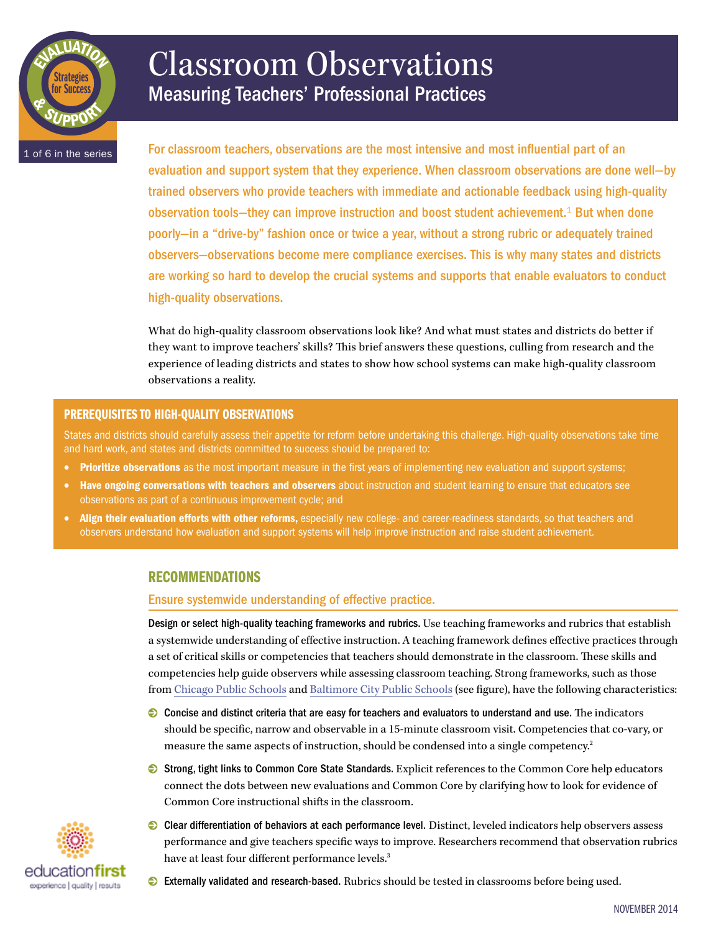

# Classroom Observations Measuring Teachers' Professional Practices

1 of 6 in the series

For classroom teachers, observations are the most intensive and most influential part of an evaluation and support system that they experience. When classroom observations are done well—by trained observers who provide teachers with immediate and actionable feedback using high-quality observation tools—they can improve instruction and boost student achievement.<sup>1</sup> But when done poorly—in a "drive-by" fashion once or twice a year, without a strong rubric or adequately trained observers—observations become mere compliance exercises. This is why many states and districts are working so hard to develop the crucial systems and supports that enable evaluators to conduct high-quality observations.

What do high-quality classroom observations look like? And what must states and districts do better if they want to improve teachers' skills? This brief answers these questions, culling from research and the experience of leading districts and states to show how school systems can make high-quality classroom observations a reality.

# PREREQUISITES TO HIGH-QUALITY OBSERVATIONS

States and districts should carefully assess their appetite for reform before undertaking this challenge. High-quality observations take time and hard work, and states and districts committed to success should be prepared to:

- Prioritize observations as the most important measure in the first years of implementing new evaluation and support systems;
- Have ongoing conversations with teachers and observers about instruction and student learning to ensure that educators see observations as part of a continuous improvement cycle; and
- Align their evaluation efforts with other reforms, especially new college- and career-readiness standards, so that teachers and observers understand how evaluation and support systems will help improve instruction and raise student achievement.

# RECOMMENDATIONS

Ensure systemwide understanding of effective practice.

Design or select high-quality teaching frameworks and rubrics. Use teaching frameworks and rubrics that establish a systemwide understanding of effective instruction. A teaching framework defines effective practices through a set of critical skills or competencies that teachers should demonstrate in the classroom. These skills and competencies help guide observers while assessing classroom teaching. Strong frameworks, such as those from [Chicago Public Schools](http://www.education-first.com/files/cps_framework_teaching_2012.pdf) and [Baltimore City Public Schools](http://www.baltimorecityschools.org/cms/lib/MD01001351/Centricity/Domain/6823/InstructionalRubric2.pdf) (see figure), have the following characteristics:

- 0 Concise and distinct criteria that are easy for teachers and evaluators to understand and use. The indicators should be specific, narrow and observable in a 15-minute classroom visit. Competencies that co-vary, or measure the same aspects of instruction, should be condensed into a single competency.2
- 0 Strong, tight links to Common Core State Standards. Explicit references to the Common Core help educators connect the dots between new evaluations and Common Core by clarifying how to look for evidence of Common Core instructional shifts in the classroom.
- educationfi experience I quality I results
- 0 Clear differentiation of behaviors at each performance level. Distinct, leveled indicators help observers assess performance and give teachers specific ways to improve. Researchers recommend that observation rubrics have at least four different performance levels.<sup>3</sup>
- $\odot$  Externally validated and research-based. Rubrics should be tested in classrooms before being used.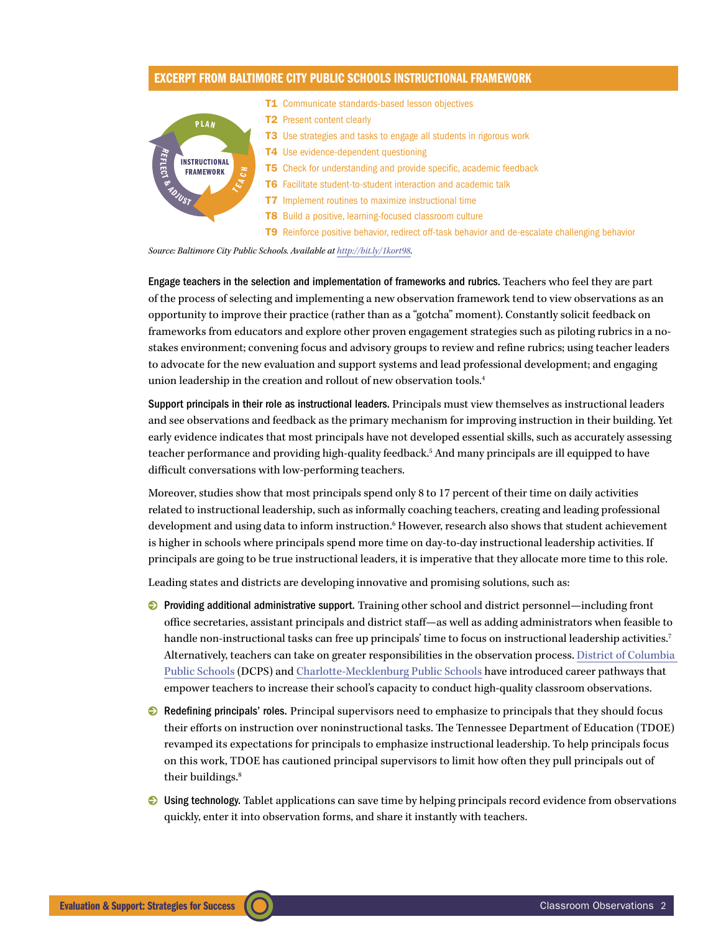# excerpt from Baltimore City Public Schools Instructional Framework



*Source: Baltimore City Public Schools. Available at [http://bit.ly/1kort98.](http://bit.ly/1kort98)*

Engage teachers in the selection and implementation of frameworks and rubrics. Teachers who feel they are part of the process of selecting and implementing a new observation framework tend to view observations as an opportunity to improve their practice (rather than as a "gotcha" moment). Constantly solicit feedback on frameworks from educators and explore other proven engagement strategies such as piloting rubrics in a nostakes environment; convening focus and advisory groups to review and refine rubrics; using teacher leaders to advocate for the new evaluation and support systems and lead professional development; and engaging union leadership in the creation and rollout of new observation tools.4

Support principals in their role as instructional leaders. Principals must view themselves as instructional leaders and see observations and feedback as the primary mechanism for improving instruction in their building. Yet early evidence indicates that most principals have not developed essential skills, such as accurately assessing teacher performance and providing high-quality feedback.5 And many principals are ill equipped to have difficult conversations with low-performing teachers.

Moreover, studies show that most principals spend only 8 to 17 percent of their time on daily activities related to instructional leadership, such as informally coaching teachers, creating and leading professional development and using data to inform instruction.<sup>6</sup> However, research also shows that student achievement is higher in schools where principals spend more time on day-to-day instructional leadership activities. If principals are going to be true instructional leaders, it is imperative that they allocate more time to this role.

Leading states and districts are developing innovative and promising solutions, such as:

- 0 Providing additional administrative support. Training other school and district personnel—including front office secretaries, assistant principals and district staff—as well as adding administrators when feasible to handle non-instructional tasks can free up principals' time to focus on instructional leadership activities.<sup>7</sup> Alternatively, teachers can take on greater responsibilities in the observation process. [District of Columbia](http://www.education-first.com/files/2014_15_LIFT_Guidebook.pdf)  [Public Schools](http://www.education-first.com/files/2014_15_LIFT_Guidebook.pdf) (DCPS) and [Charlotte-Mecklenburg Public Schools](http://www.projectliftcharlotte.org/) have introduced career pathways that empower teachers to increase their school's capacity to conduct high-quality classroom observations.
- 0 Redefining principals' roles. Principal supervisors need to emphasize to principals that they should focus their efforts on instruction over noninstructional tasks. The Tennessee Department of Education (TDOE) revamped its expectations for principals to emphasize instructional leadership. To help principals focus on this work, TDOE has cautioned principal supervisors to limit how often they pull principals out of their buildings.<sup>8</sup>
- 0 Using technology. Tablet applications can save time by helping principals record evidence from observations quickly, enter it into observation forms, and share it instantly with teachers.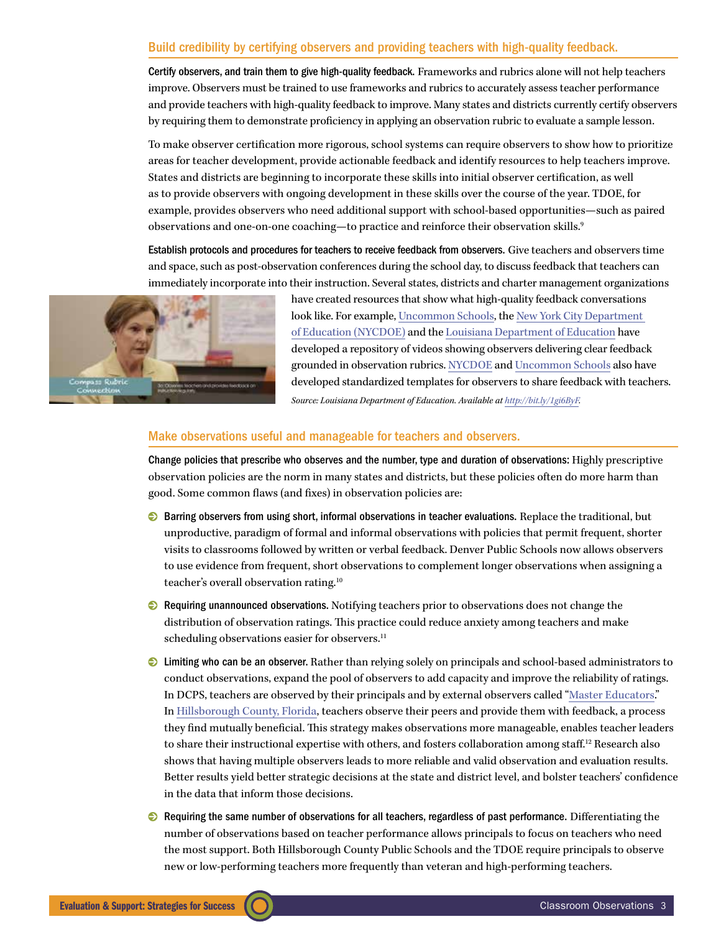## Build credibility by certifying observers and providing teachers with high-quality feedback.

Certify observers, and train them to give high-quality feedback. Frameworks and rubrics alone will not help teachers improve. Observers must be trained to use frameworks and rubrics to accurately assess teacher performance and provide teachers with high-quality feedback to improve. Many states and districts currently certify observers by requiring them to demonstrate proficiency in applying an observation rubric to evaluate a sample lesson.

To make observer certification more rigorous, school systems can require observers to show how to prioritize areas for teacher development, provide actionable feedback and identify resources to help teachers improve. States and districts are beginning to incorporate these skills into initial observer certification, as well as to provide observers with ongoing development in these skills over the course of the year. TDOE, for example, provides observers who need additional support with school-based opportunities—such as paired observations and one-on-one coaching—to practice and reinforce their observation skills.<sup>9</sup>

Establish protocols and procedures for teachers to receive feedback from observers. Give teachers and observers time and space, such as post-observation conferences during the school day, to discuss feedback that teachers can immediately incorporate into their instruction. Several states, districts and charter management organizations



have created resources that show what high-quality feedback conversations look like. For example, [Uncommon Schools,](http://www.youtube.com/user/UncommonSchools) the [New York City Department](http://schools.nyc.gov/Academics/CommonCoreLibrary/ProfessionalLearning/TeacherEffectiveness/default.htm)  [of Education](http://schools.nyc.gov/Academics/CommonCoreLibrary/ProfessionalLearning/TeacherEffectiveness/default.htm) (NYCDOE) and the [Louisiana Department of Education](http://videolibrary.louisianabelieves.com/library/model-teacher-feedback-conversation-middle-school) have developed a repository of videos showing observers delivering clear feedback grounded in observation rubrics. [NYCDOE](http://www.engageny.org/sites/default/files/resource/attachments/principal_postobs_protocol.docx) and [Uncommon Schools](http://tntp.org/assets/tools/NSA-USI_Principal_Instructional_Leader_Check-In_One-Pager_TSLT_3.12.doc) also have developed standardized templates for observers to share feedback with teachers. *Source: Louisiana Department of Education. Available at [http://bit.ly/1gi6ByF.](http://bit.ly/1gi6ByF)*

#### Make observations useful and manageable for teachers and observers.

Change policies that prescribe who observes and the number, type and duration of observations: Highly prescriptive observation policies are the norm in many states and districts, but these policies often do more harm than good. Some common flaws (and fixes) in observation policies are:

- **◯** Barring observers from using short, informal observations in teacher evaluations. Replace the traditional, but unproductive, paradigm of formal and informal observations with policies that permit frequent, shorter visits to classrooms followed by written or verbal feedback. Denver Public Schools now allows observers to use evidence from frequent, short observations to complement longer observations when assigning a teacher's overall observation rating.10
- $\odot$  Requiring unannounced observations. Notifying teachers prior to observations does not change the distribution of observation ratings. This practice could reduce anxiety among teachers and make scheduling observations easier for observers.<sup>11</sup>
- 0 Limiting who can be an observer. Rather than relying solely on principals and school-based administrators to conduct observations, expand the pool of observers to add capacity and improve the reliability of ratings. In DCPS, teachers are observed by their principals and by external observers called ["Master Educators](http://dcps.dc.gov/DCPS/In%2Bthe%2BClassroom/Ensuring%2BTeacher%2BSuccess/IMPACT%2B%28Performance%2BAssessment%29/Master%2BEducators)." In [Hillsborough County, Florida](http://www.education-first.com/files/Hillsborough_Teacher_Evaluation_Handbook.pdf), teachers observe their peers and provide them with feedback, a process they find mutually beneficial. This strategy makes observations more manageable, enables teacher leaders to share their instructional expertise with others, and fosters collaboration among staff.<sup>12</sup> Research also shows that having multiple observers leads to more reliable and valid observation and evaluation results. Better results yield better strategic decisions at the state and district level, and bolster teachers' confidence in the data that inform those decisions.
- $\odot$  Requiring the same number of observations for all teachers, regardless of past performance. Differentiating the number of observations based on teacher performance allows principals to focus on teachers who need the most support. Both Hillsborough County Public Schools and the TDOE require principals to observe new or low-performing teachers more frequently than veteran and high-performing teachers.